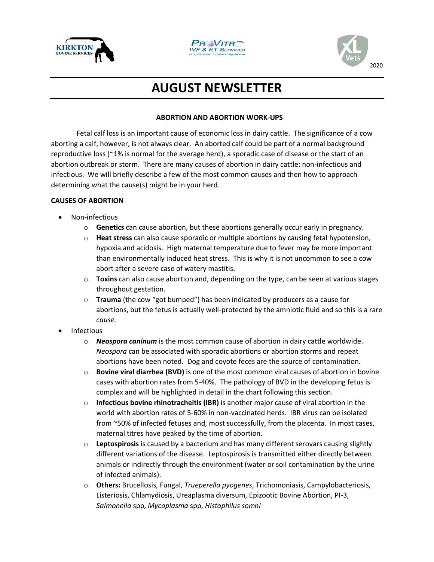





## **AUGUST NEWSLETTER**

## **ABORTION AND ABORTION WORK-UPS**

Fetal calf loss is an important cause of economic loss in dairy cattle. The significance of a cow aborting a calf, however, is not always clear. An aborted calf could be part of a normal background reproductive loss (~1% is normal for the average herd), a sporadic case of disease or the start of an abortion outbreak or storm. There are many causes of abortion in dairy cattle: non-infectious and infectious. We will briefly describe a few of the most common causes and then how to approach determining what the cause(s) might be in your herd.

## **CAUSES OF ABORTION**

- Non-infectious
	- o **Genetics** can cause abortion, but these abortions generally occur early in pregnancy.
	- o **Heat stress** can also cause sporadic or multiple abortions by causing fetal hypotension, hypoxia and acidosis. High maternal temperature due to fever may be more important than environmentally induced heat stress. This is why it is not uncommon to see a cow abort after a severe case of watery mastitis.
	- o **Toxins** can also cause abortion and, depending on the type, can be seen at various stages throughout gestation.
	- o **Trauma** (the cow "got bumped") has been indicated by producers as a cause for abortions, but the fetus is actually well-protected by the amniotic fluid and so this is a rare *cause.*
- **Infectious** 
	- o *Neospora caninum* is the most common cause of abortion in dairy cattle worldwide. *Neospora* can be associated with sporadic abortions or abortion storms and repeat abortions have been noted. Dog and coyote feces are the source of contamination.
	- o **Bovine viral diarrhea (BVD)** is one of the most common viral causes of abortion in bovine cases with abortion rates from 5-40%. The pathology of BVD in the developing fetus is complex and will be highlighted in detail in the chart following this section.
	- o **Infectious bovine rhinotracheitis (IBR)** is another major cause of viral abortion in the world with abortion rates of 5-60% in non-vaccinated herds. IBR virus can be isolated from ~50% of infected fetuses and, most successfully, from the placenta. In most cases, maternal titres have peaked by the time of abortion.
	- o **Leptospirosis** is caused by a bacterium and has many different serovars causing slightly different variations of the disease. Leptospirosis is transmitted either directly between animals or indirectly through the environment (water or soil contamination by the urine of infected animals).
	- o **Others:** Brucellosis, Fungal, *Trueperella pyogenes*, Trichomoniasis, Campylobacteriosis, Listeriosis, Chlamydiosis, Ureaplasma diversum, Epizootic Bovine Abortion, PI-3, *Salmonella* spp, *Mycoplasma* spp, *Histophilus somni*